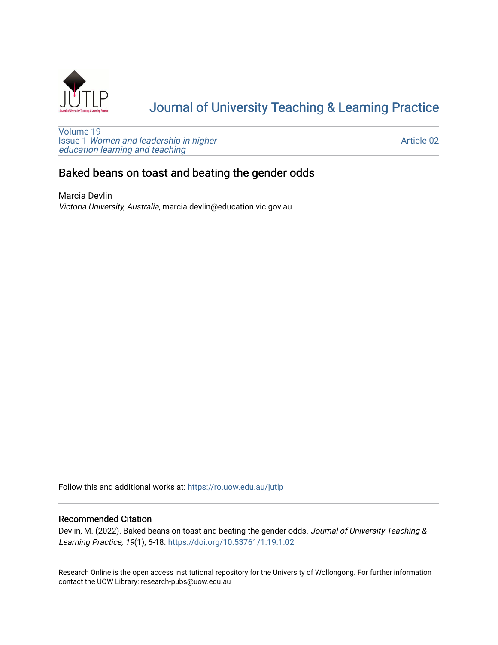

# [Journal of University Teaching & Learning Practice](https://ro.uow.edu.au/jutlp)

[Volume 19](https://ro.uow.edu.au/jutlp/vol19) Issue 1 [Women and leadership in higher](https://ro.uow.edu.au/jutlp/vol19/iss1) [education learning and teaching](https://ro.uow.edu.au/jutlp/vol19/iss1)

[Article 02](https://ro.uow.edu.au/jutlp/vol19/iss1/02) 

## Baked beans on toast and beating the gender odds

Marcia Devlin Victoria University, Australia, marcia.devlin@education.vic.gov.au

Follow this and additional works at: [https://ro.uow.edu.au/jutlp](https://ro.uow.edu.au/jutlp?utm_source=ro.uow.edu.au%2Fjutlp%2Fvol19%2Fiss1%2F02&utm_medium=PDF&utm_campaign=PDFCoverPages) 

## Recommended Citation

Devlin, M. (2022). Baked beans on toast and beating the gender odds. Journal of University Teaching & Learning Practice, 19(1), 6-18. <https://doi.org/10.53761/1.19.1.02>

Research Online is the open access institutional repository for the University of Wollongong. For further information contact the UOW Library: research-pubs@uow.edu.au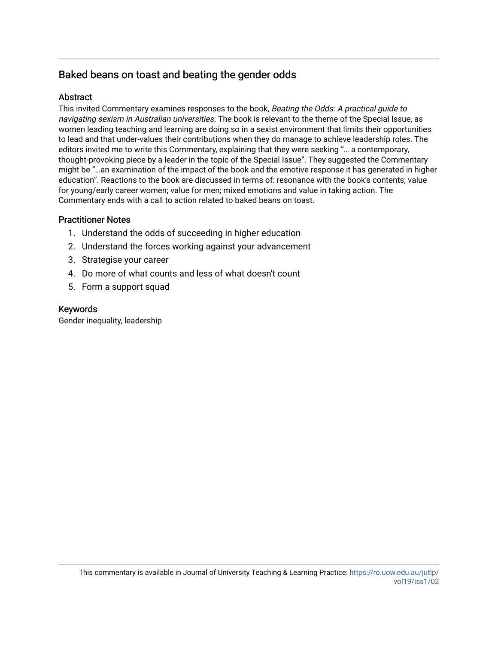## Baked beans on toast and beating the gender odds

## **Abstract**

This invited Commentary examines responses to the book, Beating the Odds: A practical guide to navigating sexism in Australian universities. The book is relevant to the theme of the Special Issue, as women leading teaching and learning are doing so in a sexist environment that limits their opportunities to lead and that under-values their contributions when they do manage to achieve leadership roles. The editors invited me to write this Commentary, explaining that they were seeking "… a contemporary, thought-provoking piece by a leader in the topic of the Special Issue". They suggested the Commentary might be "…an examination of the impact of the book and the emotive response it has generated in higher education". Reactions to the book are discussed in terms of: resonance with the book's contents; value for young/early career women; value for men; mixed emotions and value in taking action. The Commentary ends with a call to action related to baked beans on toast.

## Practitioner Notes

- 1. Understand the odds of succeeding in higher education
- 2. Understand the forces working against your advancement
- 3. Strategise your career
- 4. Do more of what counts and less of what doesn't count
- 5. Form a support squad

## Keywords

Gender inequality, leadership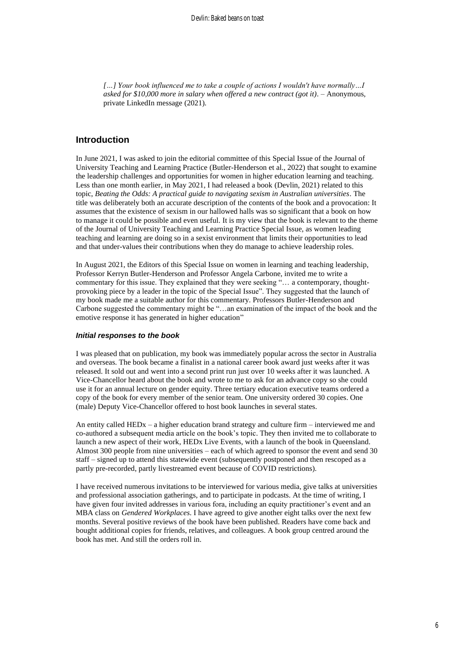*[…] Your book influenced me to take a couple of actions I wouldn't have normally…I asked for \$10,000 more in salary when offered a new contract (got it). –* Anonymous, private LinkedIn message (2021)*.*

## **Introduction**

In June 2021, I was asked to join the editorial committee of this Special Issue of the Journal of University Teaching and Learning Practice (Butler-Henderson et al., 2022) that sought to examine the leadership challenges and opportunities for women in higher education learning and teaching. Less than one month earlier, in May 2021, I had released a book (Devlin, 2021) related to this topic, *Beating the Odds: A practical guide to navigating sexism in Australian universities*. The title was deliberately both an accurate description of the contents of the book and a provocation: It assumes that the existence of sexism in our hallowed halls was so significant that a book on how to manage it could be possible and even useful. It is my view that the book is relevant to the theme of the Journal of University Teaching and Learning Practice Special Issue, as women leading teaching and learning are doing so in a sexist environment that limits their opportunities to lead and that under-values their contributions when they do manage to achieve leadership roles.

In August 2021, the Editors of this Special Issue on women in learning and teaching leadership, Professor Kerryn Butler-Henderson and Professor Angela Carbone, invited me to write a commentary for this issue. They explained that they were seeking "… a contemporary, thoughtprovoking piece by a leader in the topic of the Special Issue". They suggested that the launch of my book made me a suitable author for this commentary. Professors Butler-Henderson and Carbone suggested the commentary might be "…an examination of the impact of the book and the emotive response it has generated in higher education"

#### *Initial responses to the book*

I was pleased that on publication, my book was immediately popular across the sector in Australia and overseas. The book became a finalist in a national career book award just weeks after it was released. It sold out and went into a second print run just over 10 weeks after it was launched. A Vice-Chancellor heard about the book and wrote to me to ask for an advance copy so she could use it for an annual lecture on gender equity. Three tertiary education executive teams ordered a copy of the book for every member of the senior team. One university ordered 30 copies. One (male) Deputy Vice-Chancellor offered to host book launches in several states.

An entity called HEDx – a higher education brand strategy and culture firm – interviewed me and co-authored a subsequent media article on the book's topic. They then invited me to collaborate to launch a new aspect of their work, HEDx Live Events, with a launch of the book in Queensland. Almost 300 people from nine universities – each of which agreed to sponsor the event and send 30 staff – signed up to attend this statewide event (subsequently postponed and then rescoped as a partly pre-recorded, partly livestreamed event because of COVID restrictions).

I have received numerous invitations to be interviewed for various media, give talks at universities and professional association gatherings, and to participate in podcasts. At the time of writing, I have given four invited addresses in various fora, including an equity practitioner's event and an MBA class on *Gendered Workplaces*. I have agreed to give another eight talks over the next few months. Several positive reviews of the book have been published. Readers have come back and bought additional copies for friends, relatives, and colleagues. A book group centred around the book has met. And still the orders roll in.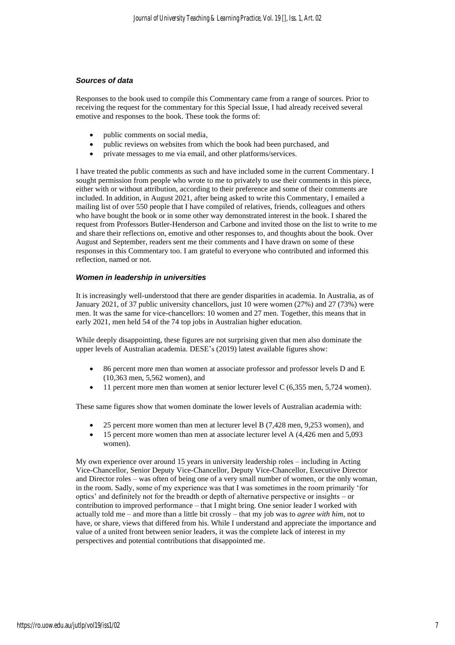### *Sources of data*

Responses to the book used to compile this Commentary came from a range of sources. Prior to receiving the request for the commentary for this Special Issue, I had already received several emotive and responses to the book. These took the forms of:

- public comments on social media,
- public reviews on websites from which the book had been purchased, and
- private messages to me via email, and other platforms/services.

I have treated the public comments as such and have included some in the current Commentary. I sought permission from people who wrote to me to privately to use their comments in this piece, either with or without attribution, according to their preference and some of their comments are included. In addition, in August 2021, after being asked to write this Commentary, I emailed a mailing list of over 550 people that I have compiled of relatives, friends, colleagues and others who have bought the book or in some other way demonstrated interest in the book. I shared the request from Professors Butler-Henderson and Carbone and invited those on the list to write to me and share their reflections on, emotive and other responses to, and thoughts about the book. Over August and September, readers sent me their comments and I have drawn on some of these responses in this Commentary too. I am grateful to everyone who contributed and informed this reflection, named or not.

#### *Women in leadership in universities*

It is increasingly well-understood that there are gender disparities in academia. In Australia, as of January 2021, of 37 public university chancellors, just 10 were women (27%) and 27 (73%) were men. It was the same for vice-chancellors: 10 women and 27 men. Together, this means that in early 2021, men held 54 of the 74 top jobs in Australian higher education.

While deeply disappointing, these figures are not surprising given that men also dominate the upper levels of Australian academia. DESE's (2019) latest available figures show:

- 86 percent more men than women at associate professor and professor levels D and E (10,363 men, 5,562 women), and
- 11 percent more men than women at senior lecturer level C (6,355 men, 5,724 women).

These same figures show that women dominate the lower levels of Australian academia with:

- 25 percent more women than men at lecturer level B (7,428 men, 9,253 women), and
- 15 percent more women than men at associate lecturer level A  $(4,426$  men and 5,093 women).

My own experience over around 15 years in university leadership roles – including in Acting Vice-Chancellor, Senior Deputy Vice-Chancellor, Deputy Vice-Chancellor, Executive Director and Director roles – was often of being one of a very small number of women, or the only woman, in the room. Sadly, some of my experience was that I was sometimes in the room primarily 'for optics' and definitely not for the breadth or depth of alternative perspective or insights – or contribution to improved performance – that I might bring. One senior leader I worked with actually told me – and more than a little bit crossly – that my job was to *agree with him*, not to have, or share, views that differed from his. While I understand and appreciate the importance and value of a united front between senior leaders, it was the complete lack of interest in my perspectives and potential contributions that disappointed me.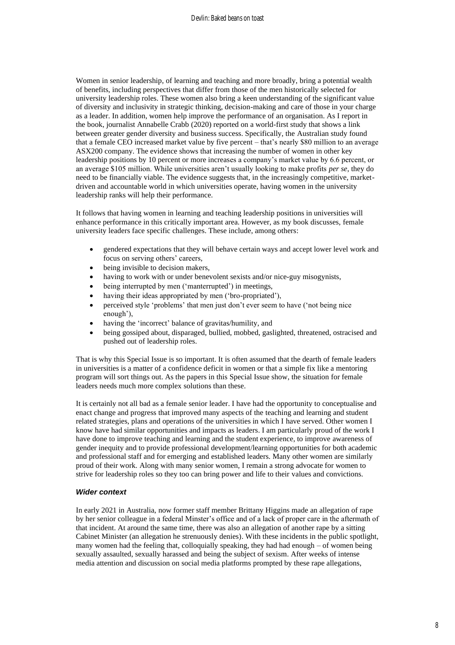Women in senior leadership, of learning and teaching and more broadly, bring a potential wealth of benefits, including perspectives that differ from those of the men historically selected for university leadership roles. These women also bring a keen understanding of the significant value of diversity and inclusivity in strategic thinking, decision-making and care of those in your charge as a leader. In addition, women help improve the performance of an organisation. As I report in the book, journalist Annabelle Crabb (2020) reported on a world-first study that shows a link between greater gender diversity and business success. Specifically, the Australian study found that a female CEO increased market value by five percent – that's nearly \$80 million to an average ASX200 company. The evidence shows that increasing the number of women in other key leadership positions by 10 percent or more increases a company's market value by 6.6 percent, or an average \$105 million. While universities aren't usually looking to make profits *per se*, they do need to be financially viable. The evidence suggests that, in the increasingly competitive, marketdriven and accountable world in which universities operate, having women in the university leadership ranks will help their performance.

It follows that having women in learning and teaching leadership positions in universities will enhance performance in this critically important area. However, as my book discusses, female university leaders face specific challenges. These include, among others:

- gendered expectations that they will behave certain ways and accept lower level work and focus on serving others' careers,
- being invisible to decision makers,
- having to work with or under benevolent sexists and/or nice-guy misogynists,
- being interrupted by men ('manterrupted') in meetings,
- having their ideas appropriated by men ('bro-propriated'),
- perceived style 'problems' that men just don't ever seem to have ('not being nice enough'),
- having the 'incorrect' balance of gravitas/humility, and
- being gossiped about, disparaged, bullied, mobbed, gaslighted, threatened, ostracised and pushed out of leadership roles.

That is why this Special Issue is so important. It is often assumed that the dearth of female leaders in universities is a matter of a confidence deficit in women or that a simple fix like a mentoring program will sort things out. As the papers in this Special Issue show, the situation for female leaders needs much more complex solutions than these.

It is certainly not all bad as a female senior leader. I have had the opportunity to conceptualise and enact change and progress that improved many aspects of the teaching and learning and student related strategies, plans and operations of the universities in which I have served. Other women I know have had similar opportunities and impacts as leaders. I am particularly proud of the work I have done to improve teaching and learning and the student experience, to improve awareness of gender inequity and to provide professional development/learning opportunities for both academic and professional staff and for emerging and established leaders. Many other women are similarly proud of their work. Along with many senior women, I remain a strong advocate for women to strive for leadership roles so they too can bring power and life to their values and convictions.

#### *Wider context*

In early 2021 in Australia, now former staff member Brittany Higgins made an allegation of rape by her senior colleague in a federal Minster's office and of a lack of proper care in the aftermath of that incident. At around the same time, there was also an allegation of another rape by a sitting Cabinet Minister (an allegation he strenuously denies). With these incidents in the public spotlight, many women had the feeling that, colloquially speaking, they had had enough – of women being sexually assaulted, sexually harassed and being the subject of sexism. After weeks of intense media attention and discussion on social media platforms prompted by these rape allegations,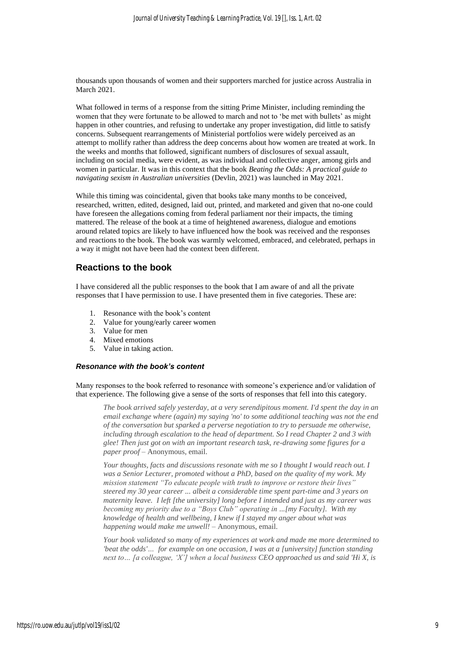thousands upon thousands of women and their supporters marched for justice across Australia in March 2021.

What followed in terms of a response from the sitting Prime Minister, including reminding the women that they were fortunate to be allowed to march and not to 'be met with bullets' as might happen in other countries, and refusing to undertake any proper investigation, did little to satisfy concerns. Subsequent rearrangements of Ministerial portfolios were widely perceived as an attempt to mollify rather than address the deep concerns about how women are treated at work. In the weeks and months that followed, significant numbers of disclosures of sexual assault, including on social media, were evident, as was individual and collective anger, among girls and women in particular. It was in this context that the book *Beating the Odds: A practical guide to navigating sexism in Australian universities* (Devlin, 2021) was launched in May 2021.

While this timing was coincidental, given that books take many months to be conceived, researched, written, edited, designed, laid out, printed, and marketed and given that no-one could have foreseen the allegations coming from federal parliament nor their impacts, the timing mattered. The release of the book at a time of heightened awareness, dialogue and emotions around related topics are likely to have influenced how the book was received and the responses and reactions to the book. The book was warmly welcomed, embraced, and celebrated, perhaps in a way it might not have been had the context been different.

## **Reactions to the book**

I have considered all the public responses to the book that I am aware of and all the private responses that I have permission to use. I have presented them in five categories. These are:

- 1. Resonance with the book's content
- 2. Value for young/early career women
- 3. Value for men
- 4. Mixed emotions
- 5. Value in taking action.

#### *Resonance with the book's content*

Many responses to the book referred to resonance with someone's experience and/or validation of that experience. The following give a sense of the sorts of responses that fell into this category.

*The book arrived safely yesterday, at a very serendipitous moment. I'd spent the day in an email exchange where (again) my saying 'no' to some additional teaching was not the end of the conversation but sparked a perverse negotiation to try to persuade me otherwise, including through escalation to the head of department. So I read Chapter 2 and 3 with glee! Then just got on with an important research task, re-drawing some figures for a paper proof –* Anonymous, email.

*Your thoughts, facts and discussions resonate with me so I thought I would reach out. I was a Senior Lecturer, promoted without a PhD, based on the quality of my work. My mission statement "To educate people with truth to improve or restore their lives" steered my 30 year career ... albeit a considerable time spent part-time and 3 years on maternity leave. I left [the university] long before I intended and just as my career was becoming my priority due to a "Boys Club" operating in ...[my Faculty]. With my knowledge of health and wellbeing, I knew if I stayed my anger about what was happening would make me unwell! –* Anonymous, email.

*Your book validated so many of my experiences at work and made me more determined to 'beat the odds'… for example on one occasion, I was at a [university] function standing next to… [a colleague, 'X'] when a local business CEO approached us and said 'Hi X, is*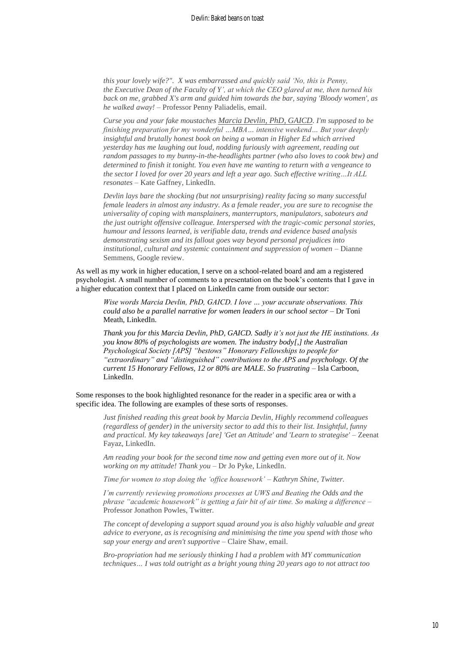*this your lovely wife?". X was embarrassed and quickly said 'No, this is Penny, the Executive Dean of the Faculty of Y', at which the CEO glared at me, then turned his back on me, grabbed X's arm and guided him towards the bar, saying 'Bloody women', as he walked away! –* Professor Penny Paliadelis, email.

*Curse you and your fake moustaches [Marcia Devlin, PhD, GAICD](https://www.linkedin.com/in/ACoAAAGh1-sBE45af6qxFsXGopZae8XTC-nd4sY). I'm supposed to be finishing preparation for my wonderful …MBA… intensive weekend… But your deeply insightful and brutally honest book on being a woman in Higher Ed which arrived yesterday has me laughing out loud, nodding furiously with agreement, reading out random passages to my bunny-in-the-headlights partner (who also loves to cook btw) and determined to finish it tonight. You even have me wanting to return with a vengeance to the sector I loved for over 20 years and left a year ago. Such effective writing…It ALL resonates –* Kate Gaffney, LinkedIn.

*Devlin lays bare the shocking (but not unsurprising) reality facing so many successful female leaders in almost any industry. As a female reader, you are sure to recognise the universality of coping with mansplainers, manterruptors, manipulators, saboteurs and the just outright offensive colleague. Interspersed with the tragic-comic personal stories, humour and lessons learned, is verifiable data, trends and evidence based analysis demonstrating sexism and its fallout goes way beyond personal prejudices into institutional, cultural and systemic containment and suppression of women –* Dianne Semmens, Google review.

As well as my work in higher education, I serve on a school-related board and am a registered psychologist. A small number of comments to a presentation on the book's contents that I gave in a higher education context that I placed on LinkedIn came from outside our sector:

*Wise words Marcia Devlin, PhD, GAICD. I love … your accurate observations. This could also be a parallel narrative for women leaders in our school sector –* Dr Toni Meath, LinkedIn.

*Thank you for this Marcia Devlin, PhD, GAICD. Sadly it's not just the HE institutions. As you know 80% of psychologists are women. The industry body[,] the Australian Psychological Society [APS] "bestows" Honorary Fellowships to people for "extraordinary" and "distinguished" contributions to the APS and psychology. Of the current 15 Honorary Fellows, 12 or 80% are MALE. So frustrating –* Isla Carboon, LinkedIn.

Some responses to the book highlighted resonance for the reader in a specific area or with a specific idea. The following are examples of these sorts of responses.

*Just finished reading this great book by [Marcia Devlin,](https://www.linkedin.com/in/ACoAAAGh1-sBE45af6qxFsXGopZae8XTC-nd4sY) Highly recommend colleagues (regardless of gender) in the university sector to add this to their list. Insightful, funny and practical. My key takeaways [are] 'Get an Attitude' and 'Learn to strategise' –* Zeenat Fayaz, LinkedIn.

*Am reading your book for the second time now and getting even more out of it. Now working on my attitude! Thank you –* Dr Jo Pyke, LinkedIn.

*Time for women to stop doing the 'office housework' – Kathryn Shine, Twitter.*

*I'm currently reviewing promotions processes at UWS and Beating the Odds and the phrase "academic housework" is getting a fair bit of air time. So making a difference –* Professor Jonathon Powles, Twitter*.*

*The concept of developing a support squad around you is also highly valuable and great advice to everyone, as is recognising and minimising the time you spend with those who sap your energy and aren't supportive –* Claire Shaw, email.

*Bro-propriation had me seriously thinking I had a problem with MY communication techniques… I was told outright as a bright young thing 20 years ago to not attract too*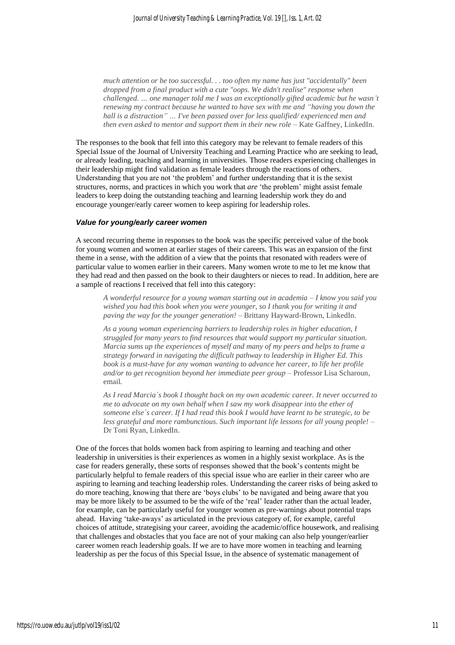*much attention or be too successful. . . too often my name has just "accidentally" been dropped from a final product with a cute "oops. We didn't realise" response when challenged. … one manager told me I was an exceptionally gifted academic but he wasn't renewing my contract because he wanted to have sex with me and "having you down the hall is a distraction" … I've been passed over for less qualified/ experienced men and then even asked to mentor and support them in their new role* – Kate Gaffney, LinkedIn.

The responses to the book that fell into this category may be relevant to female readers of this Special Issue of the Journal of University Teaching and Learning Practice who are seeking to lead, or already leading, teaching and learning in universities. Those readers experiencing challenges in their leadership might find validation as female leaders through the reactions of others. Understanding that you are not 'the problem' and further understanding that it is the sexist structures, norms, and practices in which you work that *are* 'the problem' might assist female leaders to keep doing the outstanding teaching and learning leadership work they do and encourage younger/early career women to keep aspiring for leadership roles.

#### *Value for young/early career women*

A second recurring theme in responses to the book was the specific perceived value of the book for young women and women at earlier stages of their careers. This was an expansion of the first theme in a sense, with the addition of a view that the points that resonated with readers were of particular value to women earlier in their careers. Many women wrote to me to let me know that they had read and then passed on the book to their daughters or nieces to read. In addition, here are a sample of reactions I received that fell into this category:

*A wonderful resource for a young woman starting out in academia – I know you said you wished you had this book when you were younger, so I thank you for writing it and paving the way for the younger generation! –* Brittany Hayward-Brown, LinkedIn.

*As a young woman experiencing barriers to leadership roles in higher education, I struggled for many years to find resources that would support my particular situation. Marcia sums up the experiences of myself and many of my peers and helps to frame a strategy forward in navigating the difficult pathway to leadership in Higher Ed. This book is a must-have for any woman wanting to advance her career, to life her profile and/or to get recognition beyond her immediate peer group –* Professor Lisa Scharoun, email*.*

*As I read Marcia´s book I thought back on my own academic career. It never occurred to me to advocate on my own behalf when I saw my work disappear into the ether of someone else´s career. If I had read this book I would have learnt to be strategic, to be less grateful and more rambunctious. Such important life lessons for all young people! –* Dr Toni Ryan, LinkedIn.

One of the forces that holds women back from aspiring to learning and teaching and other leadership in universities is their experiences as women in a highly sexist workplace. As is the case for readers generally, these sorts of responses showed that the book's contents might be particularly helpful to female readers of this special issue who are earlier in their career who are aspiring to learning and teaching leadership roles. Understanding the career risks of being asked to do more teaching, knowing that there are 'boys clubs' to be navigated and being aware that you may be more likely to be assumed to be the wife of the 'real' leader rather than the actual leader, for example, can be particularly useful for younger women as pre-warnings about potential traps ahead. Having 'take-aways' as articulated in the previous category of, for example, careful choices of attitude, strategising your career, avoiding the academic/office housework, and realising that challenges and obstacles that you face are not of your making can also help younger/earlier career women reach leadership goals. If we are to have more women in teaching and learning leadership as per the focus of this Special Issue, in the absence of systematic management of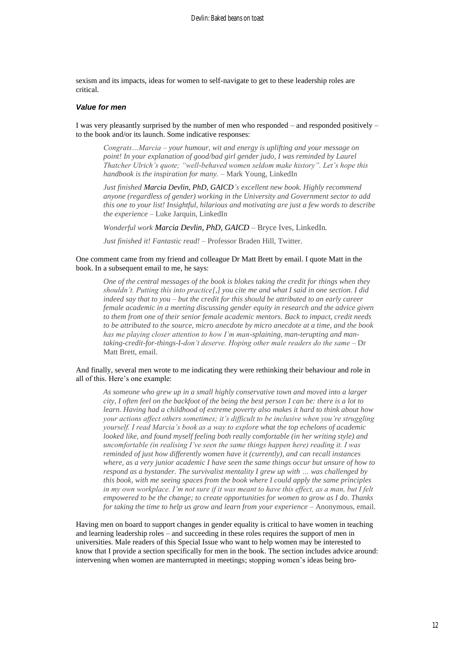sexism and its impacts, ideas for women to self-navigate to get to these leadership roles are critical.

#### *Value for men*

I was very pleasantly surprised by the number of men who responded – and responded positively – to the book and/or its launch. Some indicative responses:

*Congrats…Marcia – your humour, wit and energy is uplifting and your message on point! In your explanation of good/bad girl gender judo, I was reminded by Laurel Thatcher Ulrich's quote; "well-behaved women seldom make history". Let's hope this handbook is the inspiration for many. –* Mark Young, LinkedIn

*Just finished [Marcia Devlin, PhD, GAICD'](https://www.linkedin.com/in/ACoAAAGh1-sBE45af6qxFsXGopZae8XTC-nd4sY)s excellent new book. Highly recommend anyone (regardless of gender) working in the University and Government sector to add this one to your list! Insightful, hilarious and motivating are just a few words to describe the experience –* Luke Jarquin, LinkedIn

*Wonderful work [Marcia D](https://www.linkedin.com/in/ACoAAAGh1-sBE45af6qxFsXGopZae8XTC-nd4sY)evlin, PhD, GAICD –* Bryce Ives, LinkedIn*.*

*Just finished it! Fantastic read! –* Professor Braden Hill, Twitter.

### One comment came from my friend and colleague Dr Matt Brett by email. I quote Matt in the book. In a subsequent email to me, he says:

*One of the central messages of the book is blokes taking the credit for things when they shouldn't. Putting this into practice[,] you cite me and what I said in one section. I did indeed say that to you – but the credit for this should be attributed to an early career female academic in a meeting discussing gender equity in research and the advice given to them from one of their senior female academic mentors. Back to impact, credit needs to be attributed to the source, micro anecdote by micro anecdote at a time, and the book has me playing closer attention to how I'm man-splaining, man-terupting and mantaking-credit-for-things-I-don't deserve. Hoping other male readers do the same –* Dr Matt Brett, email.

#### And finally, several men wrote to me indicating they were rethinking their behaviour and role in all of this. Here's one example:

*As someone who grew up in a small highly conservative town and moved into a larger city, I often feel on the backfoot of the being the best person I can be: there is a lot to learn. Having had a childhood of extreme poverty also makes it hard to think about how your actions affect others sometimes; it's difficult to be inclusive when you're struggling yourself. I read Marcia's book as a way to explore what the top echelons of academic looked like, and found myself feeling both really comfortable (in her writing style) and uncomfortable (in realising I've seen the same things happen here) reading it. I was reminded of just how differently women have it (currently), and can recall instances where, as a very junior academic I have seen the same things occur but unsure of how to respond as a bystander. The survivalist mentality I grew up with … was challenged by this book, with me seeing spaces from the book where I could apply the same principles in my own workplace. I'm not sure if it was meant to have this effect, as a man, but I felt empowered to be the change; to create opportunities for women to grow as I do. Thanks for taking the time to help us grow and learn from your experience –* Anonymous, email.

Having men on board to support changes in gender equality is critical to have women in teaching and learning leadership roles – and succeeding in these roles requires the support of men in universities. Male readers of this Special Issue who want to help women may be interested to know that I provide a section specifically for men in the book. The section includes advice around: intervening when women are manterrupted in meetings; stopping women's ideas being bro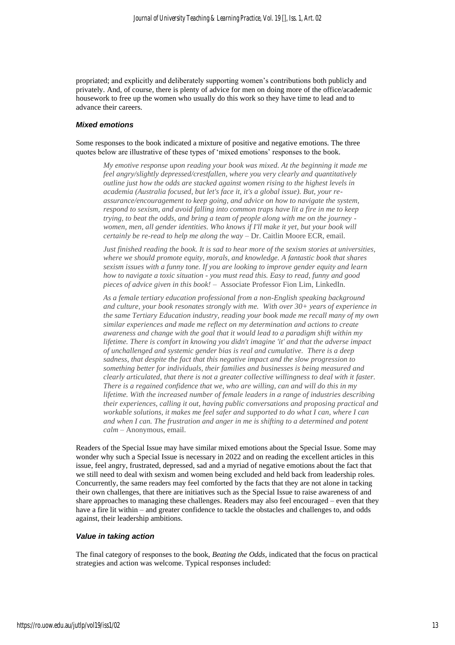propriated; and explicitly and deliberately supporting women's contributions both publicly and privately. And, of course, there is plenty of advice for men on doing more of the office/academic housework to free up the women who usually do this work so they have time to lead and to advance their careers.

#### *Mixed emotions*

Some responses to the book indicated a mixture of positive and negative emotions. The three quotes below are illustrative of these types of 'mixed emotions' responses to the book.

*My emotive response upon reading your book was mixed. At the beginning it made me feel angry/slightly depressed/crestfallen, where you very clearly and quantitatively outline just how the odds are stacked against women rising to the highest levels in academia (Australia focused, but let's face it, it's a global issue). But, your reassurance/encouragement to keep going, and advice on how to navigate the system, respond to sexism, and avoid falling into common traps have lit a fire in me to keep trying, to beat the odds, and bring a team of people along with me on the journey women, men, all gender identities. Who knows if I'll make it yet, but your book will certainly be re-read to help me along the way –* Dr. Caitlin Moore ECR, email.

*Just finished reading the book. It is sad to hear more of the sexism stories at universities, where we should promote equity, morals, and knowledge. A fantastic book that shares sexism issues with a funny tone. If you are looking to improve gender equity and learn how to navigate a toxic situation - you must read this. Easy to read, funny and good pieces of advice given in this book! –* Associate Professor Fion Lim, LinkedIn.

*As a female tertiary education professional from a non-English speaking background and culture, your book resonates strongly with me. With over 30+ years of experience in the same Tertiary Education industry, reading your book made me recall many of my own similar experiences and made me reflect on my determination and actions to create awareness and change with the goal that it would lead to a paradigm shift within my lifetime. There is comfort in knowing you didn't imagine 'it' and that the adverse impact of unchallenged and systemic gender bias is real and cumulative. There is a deep sadness, that despite the fact that this negative impact and the slow progression to something better for individuals, their families and businesses is being measured and clearly articulated, that there is not a greater collective willingness to deal with it faster. There is a regained confidence that we, who are willing, can and will do this in my lifetime. With the increased number of female leaders in a range of industries describing their experiences, calling it out, having public conversations and proposing practical and workable solutions, it makes me feel safer and supported to do what I can, where I can and when I can. The frustration and anger in me is shifting to a determined and potent calm –* Anonymous, email.

Readers of the Special Issue may have similar mixed emotions about the Special Issue. Some may wonder why such a Special Issue is necessary in 2022 and on reading the excellent articles in this issue, feel angry, frustrated, depressed, sad and a myriad of negative emotions about the fact that we still need to deal with sexism and women being excluded and held back from leadership roles. Concurrently, the same readers may feel comforted by the facts that they are not alone in tacking their own challenges, that there are initiatives such as the Special Issue to raise awareness of and share approaches to managing these challenges. Readers may also feel encouraged – even that they have a fire lit within – and greater confidence to tackle the obstacles and challenges to, and odds against, their leadership ambitions.

#### *Value in taking action*

The final category of responses to the book, *Beating the Odds*, indicated that the focus on practical strategies and action was welcome. Typical responses included: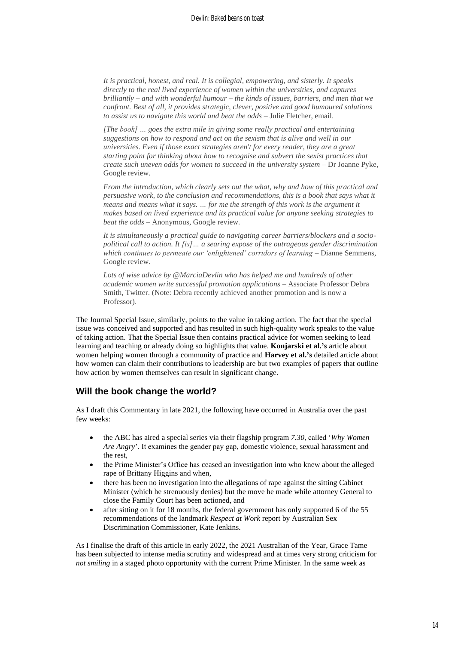*It is practical, honest, and real. It is collegial, empowering, and sisterly. It speaks directly to the real lived experience of women within the universities, and captures brilliantly – and with wonderful humour – the kinds of issues, barriers, and men that we confront. Best of all, it provides strategic, clever, positive and good humoured solutions to assist us to navigate this world and beat the odds –* Julie Fletcher, email.

*[The book] … goes the extra mile in giving some really practical and entertaining suggestions on how to respond and act on the sexism that is alive and well in our universities. Even if those exact strategies aren't for every reader, they are a great starting point for thinking about how to recognise and subvert the sexist practices that create such uneven odds for women to succeed in the university system –* Dr Joanne Pyke, Google review.

*From the introduction, which clearly sets out the what, why and how of this practical and persuasive work, to the conclusion and recommendations, this is a book that says what it means and means what it says. … for me the strength of this work is the argument it makes based on lived experience and its practical value for anyone seeking strategies to beat the odds –* Anonymous, Google review*.*

*It is simultaneously a practical guide to navigating career barriers/blockers and a sociopolitical call to action. It [is]… a searing expose of the outrageous gender discrimination which continues to permeate our 'enlightened' corridors of learning –* Dianne Semmens, Google review.

*Lots of wise advice by @MarciaDevlin who has helped me and hundreds of other academic women write successful promotion applications –* Associate Professor Debra Smith, Twitter. (Note: Debra recently achieved another promotion and is now a Professor).

The Journal Special Issue, similarly, points to the value in taking action. The fact that the special issue was conceived and supported and has resulted in such high-quality work speaks to the value of taking action. That the Special Issue then contains practical advice for women seeking to lead learning and teaching or already doing so highlights that value. **Konjarski et al.'s** article about women helping women through a community of practice and **Harvey et al.'s** detailed article about how women can claim their contributions to leadership are but two examples of papers that outline how action by women themselves can result in significant change.

## **Will the book change the world?**

As I draft this Commentary in late 2021, the following have occurred in Australia over the past few weeks:

- the ABC has aired a special series via their flagship program *7.30*, called '*Why Women Are Angry*'. It examines the gender pay gap, domestic violence, sexual harassment and the rest,
- the Prime Minister's Office has ceased an investigation into who knew about the alleged rape of Brittany Higgins and when,
- there has been no investigation into the allegations of rape against the sitting Cabinet Minister (which he strenuously denies) but the move he made while attorney General to close the Family Court has been actioned, and
- after sitting on it for 18 months, the federal government has only supported 6 of the 55 recommendations of the landmark *Respect at Work* report by Australian Sex Discrimination Commissioner, Kate Jenkins.

As I finalise the draft of this article in early 2022, the 2021 Australian of the Year, Grace Tame has been subjected to intense media scrutiny and widespread and at times very strong criticism for *not smiling* in a staged photo opportunity with the current Prime Minister. In the same week as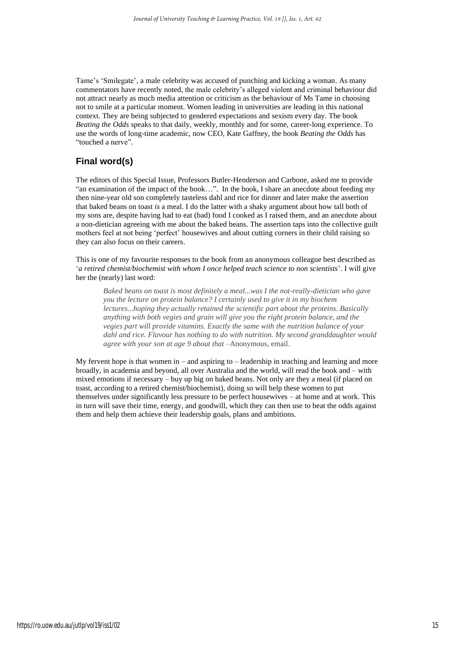Tame's 'Smilegate', a male celebrity was accused of punching and kicking a woman. As many commentators have recently noted, the male celebrity's alleged violent and criminal behaviour did not attract nearly as much media attention or criticism as the behaviour of Ms Tame in choosing not to smile at a particular moment. Women leading in universities are leading in this national context. They are being subjected to gendered expectations and sexism every day. The book *Beating the Odds* speaks to that daily, weekly, monthly and for some, career-long experience. To use the words of long-time academic, now CEO, Kate Gaffney, the book *Beating the Odds* has "touched a nerve".

## **Final word(s)**

The editors of this Special Issue, Professors Butler-Henderson and Carbone, asked me to provide "an examination of the impact of the book…". In the book, I share an anecdote about feeding my then nine-year old son completely tasteless dahl and rice for dinner and later make the assertion that baked beans on toast *is* a meal. I do the latter with a shaky argument about how tall both of my sons are, despite having had to eat (bad) food I cooked as I raised them, and an anecdote about a non-dietician agreeing with me about the baked beans. The assertion taps into the collective guilt mothers feel at not being 'perfect' housewives and about cutting corners in their child raising so they can also focus on their careers.

This is one of my favourite responses to the book from an anonymous colleague best described as '*a retired chemist/biochemist with whom I once helped teach science to non scientists*'. I will give her the (nearly) last word:

*Baked beans on toast is most definitely a meal...was I the not-really-dietician who gave you the lecture on protein balance? I certainly used to give it in my biochem lectures...hoping they actually retained the scientific part about the proteins. Basically anything with both vegies and grain will give you the right protein balance, and the vegies part will provide vitamins. Exactly the same with the nutrition balance of your dahl and rice. Flavour has nothing to do with nutrition. My second granddaughter would agree with your son at age 9 about that –*Anonymous, email.

My fervent hope is that women in – and aspiring to – leadership in teaching and learning and more broadly, in academia and beyond, all over Australia and the world, will read the book and – with mixed emotions if necessary – buy up big on baked beans. Not only are they a meal (if placed on toast, according to a retired chemist/biochemist), doing so will help these women to put themselves under significantly less pressure to be perfect housewives – at home and at work. This in turn will save their time, energy, and goodwill, which they can then use to beat the odds against them and help them achieve their leadership goals, plans and ambitions.